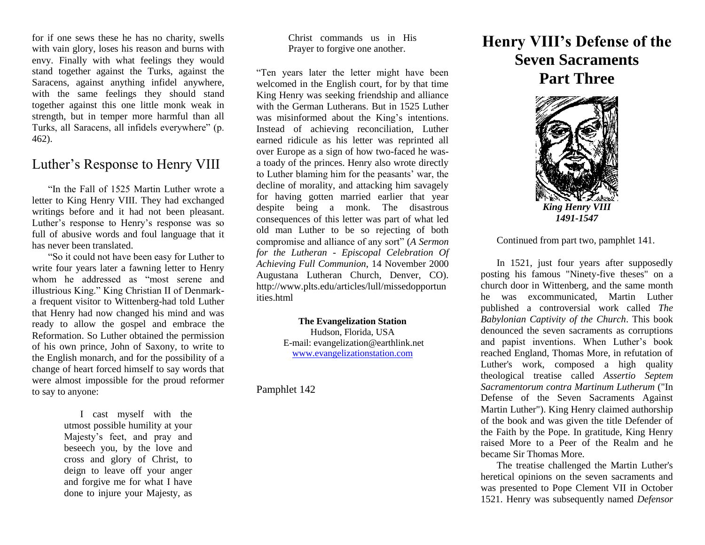for if one sews these he has no charity, swells with vain glory, loses his reason and burns with envy. Finally with what feelings they would stand together against the Turks, against the Saracens, against anything infidel anywhere, with the same feelings they should stand together against this one little monk weak in strength, but in temper more harmful than all Turks, all Saracens, all infidels everywhere" (p. 462).

## Luther's Response to Henry VIII

"In the Fall of 1525 Martin Luther wrote a letter to King Henry VIII. They had exchanged writings before and it had not been pleasant. Luther's response to Henry's response was so full of abusive words and foul language that it has never been translated.

"So it could not have been easy for Luther to write four years later a fawning letter to Henry whom he addressed as "most serene and illustrious King." King Christian II of Denmarka frequent visitor to Wittenberg-had told Luther that Henry had now changed his mind and was ready to allow the gospel and embrace the Reformation. So Luther obtained the permission of his own prince, John of Saxony, to write to the English monarch, and for the possibility of a change of heart forced himself to say words that were almost impossible for the proud reformer to say to anyone:

> I cast myself with the utmost possible humility at your Majesty's feet, and pray and beseech you, by the love and cross and glory of Christ, to deign to leave off your anger and forgive me for what I have done to injure your Majesty, as

Christ commands us in His Prayer to forgive one another.

"Ten years later the letter might have been welcomed in the English court, for by that time King Henry was seeking friendship and alliance with the German Lutherans. But in 1525 Luther was misinformed about the King's intentions. Instead of achieving reconciliation, Luther earned ridicule as his letter was reprinted all over Europe as a sign of how two-faced he wasa toady of the princes. Henry also wrote directly to Luther blaming him for the peasants' war, the decline of morality, and attacking him savagely for having gotten married earlier that year despite being a monk. The disastrous consequences of this letter was part of what led old man Luther to be so rejecting of both compromise and alliance of any sort" (*A Sermon for the Lutheran - Episcopal Celebration Of Achieving Full Communion*, 14 November 2000 Augustana Lutheran Church, Denver, CO). http://www.plts.edu/articles/lull/missedopportun ities.html

> **The Evangelization Station** Hudson, Florida, USA E-mail: evangelization@earthlink.net [www.evangelizationstation.com](http://www.pjpiisoe.org/)

Pamphlet 142

## **Henry VIII's Defense of the Seven Sacraments Part Three**



Continued from part two, pamphlet 141.

In 1521, just four years after supposedly posting his famous "Ninety-five theses" on a church door in Wittenberg, and the same month he was excommunicated, Martin Luther published a controversial work called *The Babylonian Captivity of the Church*. This book denounced the seven sacraments as corruptions and papist inventions. When Luther's book reached England, Thomas More, in refutation of Luther's work, composed a high quality theological treatise called *Assertio Septem Sacramentorum contra Martinum Lutherum* ("In Defense of the Seven Sacraments Against Martin Luther"). King Henry claimed authorship of the book and was given the title Defender of the Faith by the Pope. In gratitude, King Henry raised More to a Peer of the Realm and he became Sir Thomas More.

The treatise challenged the Martin Luther's heretical opinions on the seven sacraments and was presented to Pope Clement VII in October 1521. Henry was subsequently named *Defensor*